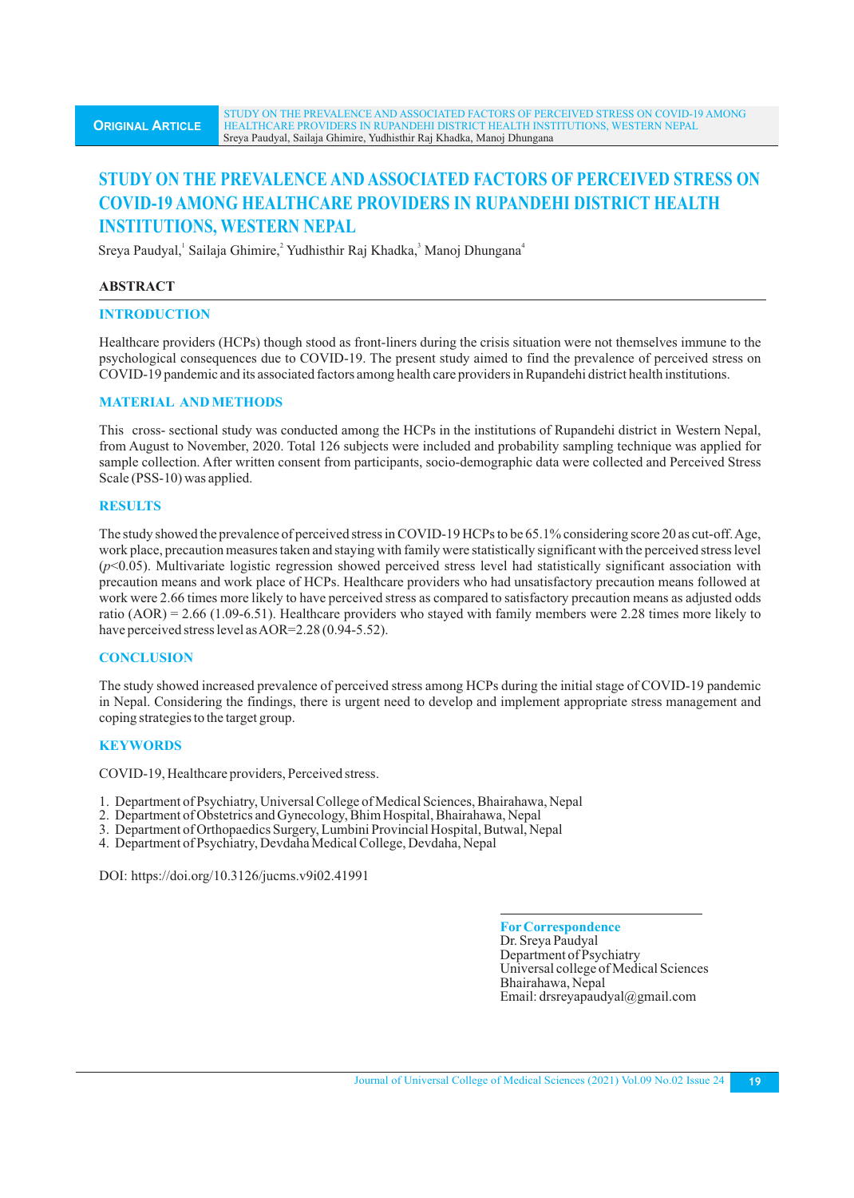# **STUDY ON THE PREVALENCE AND ASSOCIATED FACTORS OF PERCEIVED STRESS ON COVID-19 AMONG HEALTHCARE PROVIDERS IN RUPANDEHI DISTRICT HEALTH INSTITUTIONS, WESTERN NEPAL**

Sreya Paudyal, Sailaja Ghimire, Yudhisthir Raj Khadka, Manoj Dhungana<sup>4</sup>

# **ABSTRACT**

# **INTRODUCTION**

Healthcare providers (HCPs) though stood as front-liners during the crisis situation were not themselves immune to the psychological consequences due to COVID-19. The present study aimed to find the prevalence of perceived stress on COVID-19 pandemic and its associated factors among health care providers in Rupandehi district health institutions.

# **MATERIAL AND METHODS**

This cross- sectional study was conducted among the HCPs in the institutions of Rupandehi district in Western Nepal, from August to November, 2020. Total 126 subjects were included and probability sampling technique was applied for sample collection. After written consent from participants, socio-demographic data were collected and Perceived Stress Scale (PSS-10) was applied.

# **RESULTS**

The study showed the prevalence of perceived stress in COVID-19 HCPs to be 65.1% considering score 20 as cut-off. Age, work place, precaution measures taken and staying with family were statistically significant with the perceived stress level (*p*<0.05). Multivariate logistic regression showed perceived stress level had statistically significant association with precaution means and work place of HCPs. Healthcare providers who had unsatisfactory precaution means followed at work were 2.66 times more likely to have perceived stress as compared to satisfactory precaution means as adjusted odds ratio  $(AOR) = 2.66 (1.09-6.51)$ . Healthcare providers who stayed with family members were 2.28 times more likely to have perceived stress level as AOR=2.28 (0.94-5.52).

# **CONCLUSION**

The study showed increased prevalence of perceived stress among HCPs during the initial stage of COVID-19 pandemic in Nepal. Considering the findings, there is urgent need to develop and implement appropriate stress management and coping strategies to the target group.

# **KEYWORDS**

COVID-19, Healthcare providers, Perceived stress.

- 1. Department of Psychiatry, Universal College of Medical Sciences, Bhairahawa, Nepal
- 2. Department of Obstetrics and Gynecology, Bhim Hospital, Bhairahawa, Nepal
- 3. Department of Orthopaedics Surgery, Lumbini Provincial Hospital, Butwal, Nepal
- 4. Department of Psychiatry, Devdaha Medical College, Devdaha, Nepal

DOI: https://doi.org/10.3126/jucms.v9i02.41991

**ForCorrespondence** Dr. Sreya Paudyal Department of Psychiatry Universal college of Medical Sciences Bhairahawa, Nepal Email: drsreyapaudyal@gmail.com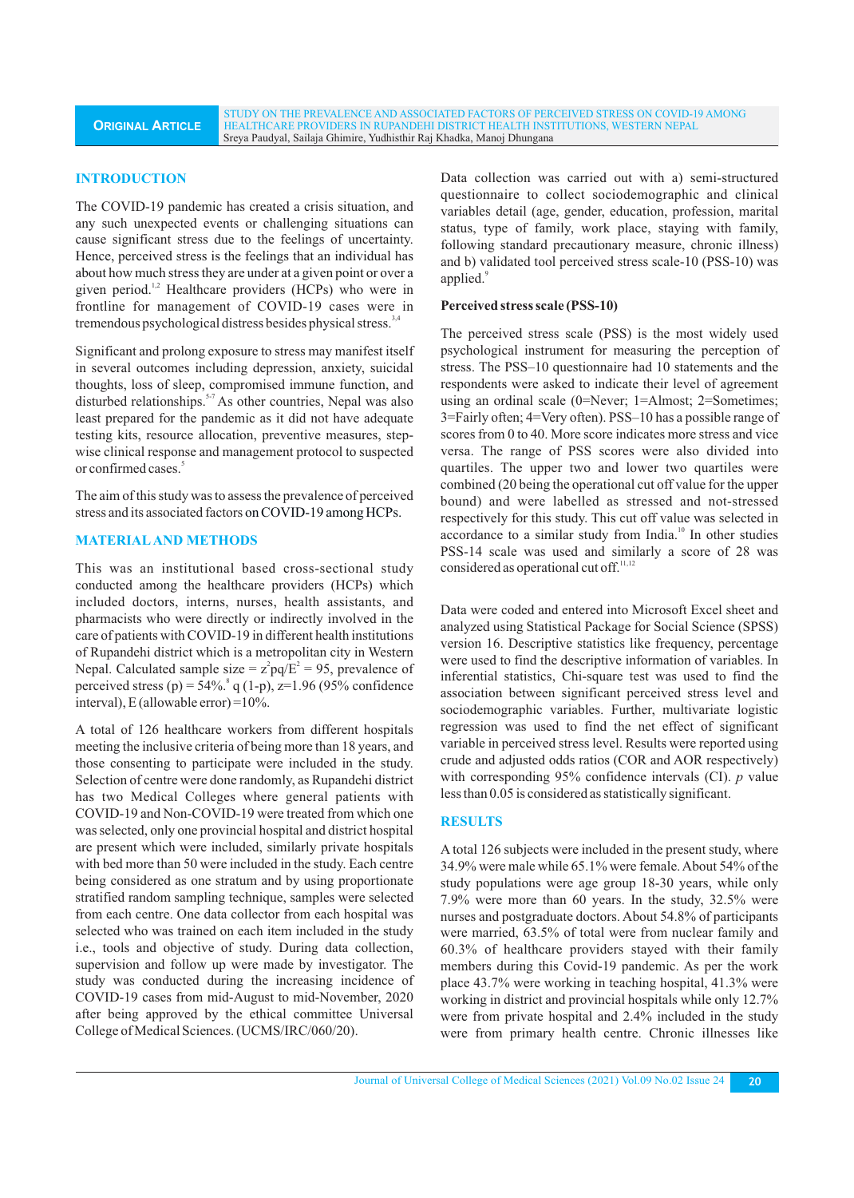STUDY ON THE PREVALENCE AND ASSOCIATED FACTORS OF PERCEIVED STRESS ON COVID-19 AMONG HEALTHCARE PROVIDERS IN RUPANDEHI DISTRICT HEALTH INSTITUTIONS, WESTERN NEPAL Sreya Paudyal, Sailaja Ghimire, Yudhisthir Raj Khadka, Manoj Dhungana

### **INTRODUCTION**

The COVID-19 pandemic has created a crisis situation, and any such unexpected events or challenging situations can cause significant stress due to the feelings of uncertainty. Hence, perceived stress is the feelings that an individual has about how much stress they are under at a given point or over a given period.<sup>1,2</sup> Healthcare providers (HCPs) who were in frontline for management of COVID-19 cases were in tremendous psychological distress besides physical stress.<sup>3,4</sup>

Significant and prolong exposure to stress may manifest itself in several outcomes including depression, anxiety, suicidal thoughts, loss of sleep, compromised immune function, and disturbed relationships.<sup>5-7</sup> As other countries, Nepal was also least prepared for the pandemic as it did not have adequate testing kits, resource allocation, preventive measures, stepwise clinical response and management protocol to suspected or confirmed cases.<sup>5</sup>

The aim of this study was to assess the prevalence of perceived stress and its associated factors on COVID-19 among HCPs.

# **MATERIALAND METHODS**

This was an institutional based cross-sectional study conducted among the healthcare providers (HCPs) which included doctors, interns, nurses, health assistants, and pharmacists who were directly or indirectly involved in the care of patients with COVID-19 in different health institutions of Rupandehi district which is a metropolitan city in Western Nepal. Calculated sample size =  $z^2 pq/E^2 = 95$ , prevalence of perceived stress (p) =  $54\%$ .  $q(1-p)$ , z=1.96 (95% confidence interval), E (allowable error) =10%.

A total of 126 healthcare workers from different hospitals meeting the inclusive criteria of being more than 18 years, and those consenting to participate were included in the study. Selection of centre were done randomly, as Rupandehi district has two Medical Colleges where general patients with COVID-19 and Non-COVID-19 were treated from which one was selected, only one provincial hospital and district hospital are present which were included, similarly private hospitals with bed more than 50 were included in the study. Each centre being considered as one stratum and by using proportionate stratified random sampling technique, samples were selected from each centre. One data collector from each hospital was selected who was trained on each item included in the study i.e., tools and objective of study. During data collection, supervision and follow up were made by investigator. The study was conducted during the increasing incidence of COVID-19 cases from mid-August to mid-November, 2020 after being approved by the ethical committee Universal College of Medical Sciences. (UCMS/IRC/060/20).

Data collection was carried out with a) semi-structured questionnaire to collect sociodemographic and clinical variables detail (age, gender, education, profession, marital status, type of family, work place, staying with family, following standard precautionary measure, chronic illness) and b) validated tool perceived stress scale-10 (PSS-10) was applied.<sup>9</sup>

### **Perceived stress scale (PSS-10)**

The perceived stress scale (PSS) is the most widely used psychological instrument for measuring the perception of stress. The PSS–10 questionnaire had 10 statements and the respondents were asked to indicate their level of agreement using an ordinal scale (0=Never; 1=Almost; 2=Sometimes; 3=Fairly often; 4=Very often). PSS–10 has a possible range of scores from 0 to 40. More score indicates more stress and vice versa. The range of PSS scores were also divided into quartiles. The upper two and lower two quartiles were combined (20 being the operational cut off value for the upper bound) and were labelled as stressed and not-stressed respectively for this study. This cut off value was selected in accordance to a similar study from India.<sup>10</sup> In other studies PSS-14 scale was used and similarly a score of 28 was considered as operational cut off.<sup>11,12</sup>

Data were coded and entered into Microsoft Excel sheet and analyzed using Statistical Package for Social Science (SPSS) version 16. Descriptive statistics like frequency, percentage were used to find the descriptive information of variables. In inferential statistics, Chi-square test was used to find the association between significant perceived stress level and sociodemographic variables. Further, multivariate logistic regression was used to find the net effect of significant variable in perceived stress level. Results were reported using crude and adjusted odds ratios (COR and AOR respectively) with corresponding 95% confidence intervals (CI). *p* value less than 0.05 is considered as statistically significant.

# **RESULTS**

A total 126 subjects were included in the present study, where 34.9% were male while 65.1% were female. About 54% of the study populations were age group 18-30 years, while only 7.9% were more than 60 years. In the study, 32.5% were nurses and postgraduate doctors. About 54.8% of participants were married, 63.5% of total were from nuclear family and 60.3% of healthcare providers stayed with their family members during this Covid-19 pandemic. As per the work place 43.7% were working in teaching hospital, 41.3% were working in district and provincial hospitals while only 12.7% were from private hospital and 2.4% included in the study were from primary health centre. Chronic illnesses like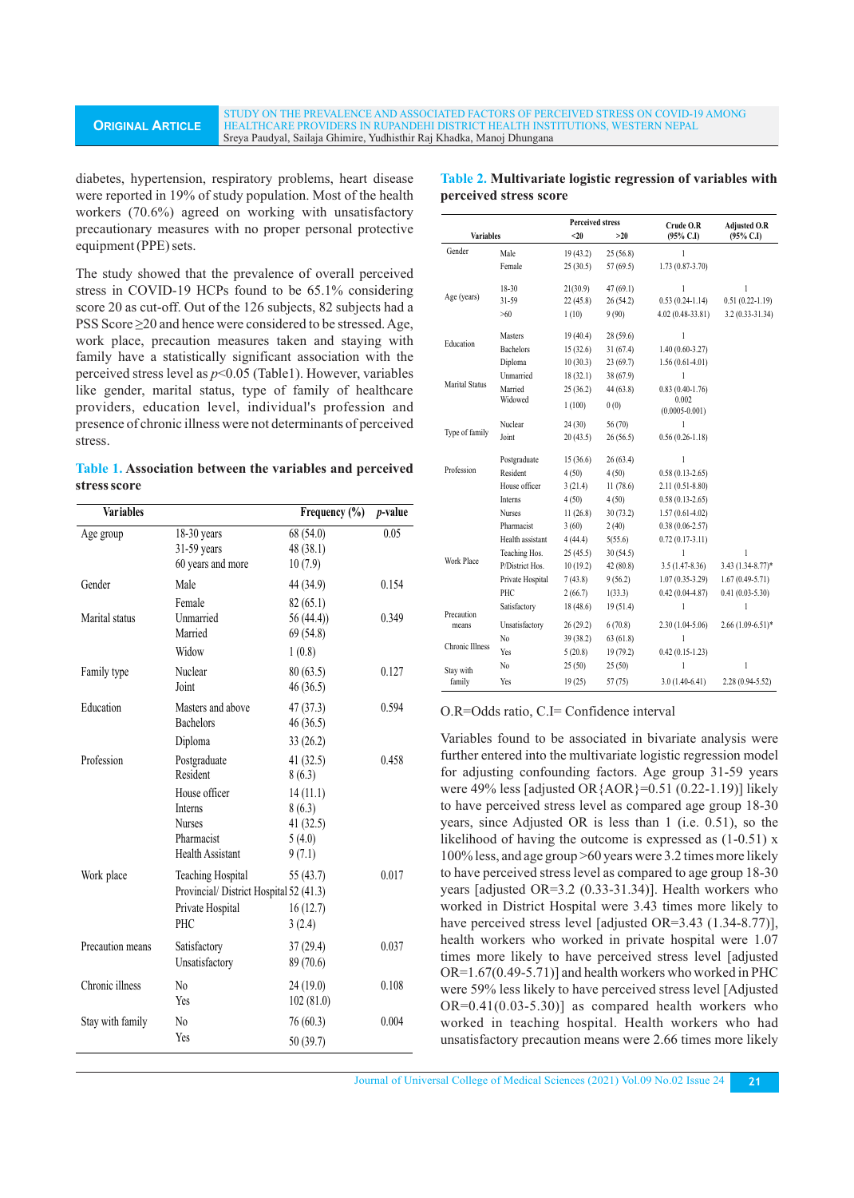#### **ORIGINAL ARTICLE** STUDY ON THE PREVALENCE AND ASSOCIATED FACTORS OF PERCEIVED STRESS ON COVID-19 AMONG HEALTHCARE PROVIDERS IN RUPANDEHI DISTRICT HEALTH INSTITUTIONS, WESTERN NEPAL Sreya Paudyal, Sailaja Ghimire, Yudhisthir Raj Khadka, Manoj Dhungana

diabetes, hypertension, respiratory problems, heart disease were reported in 19% of study population. Most of the health workers (70.6%) agreed on working with unsatisfactory precautionary measures with no proper personal protective equipment (PPE) sets.

The study showed that the prevalence of overall perceived stress in COVID-19 HCPs found to be 65.1% considering score 20 as cut-off. Out of the 126 subjects, 82 subjects had a PSS Score ≥20 and hence were considered to be stressed. Age, work place, precaution measures taken and staying with family have a statistically significant association with the perceived stress level as *p*<0.05 (Table1). However, variables like gender, marital status, type of family of healthcare providers, education level, individual's profession and presence of chronic illness were not determinants of perceived stress.

**Table 1. Association between the variables and perceived stress score**

| <b>Variables</b> |                                                                                                      | Frequency $(\% )$                                  | <i>p</i> -value |
|------------------|------------------------------------------------------------------------------------------------------|----------------------------------------------------|-----------------|
| Age group        | $18-30$ years<br>31-59 years<br>60 years and more                                                    | 68 (54.0)<br>48 (38.1)<br>10(7.9)                  | 0.05            |
| Gender           | Male                                                                                                 | 44 (34.9)                                          | 0.154           |
| Marital status   | Female<br>Unmarried<br>Married<br>Widow                                                              | 82(65.1)<br>56(44.4)<br>69 (54.8)<br>1(0.8)        | 0.349           |
| Family type      | Nuclear<br>Joint                                                                                     | 80(63.5)<br>46(36.5)                               | 0.127           |
| Education        | Masters and above<br><b>Bachelors</b>                                                                | 47(37.3)<br>46(36.5)                               | 0.594           |
|                  | Diploma                                                                                              | 33(26.2)                                           |                 |
| Profession       | Postgraduate<br>Resident                                                                             | 41(32.5)<br>8(6.3)                                 | 0.458           |
|                  | House officer<br><b>Interns</b><br><b>Nurses</b><br>Pharmacist<br><b>Health Assistant</b>            | 14(11.1)<br>8(6.3)<br>41(32.5)<br>5(4.0)<br>9(7.1) |                 |
| Work place       | <b>Teaching Hospital</b><br>Provincial/District Hospital 52 (41.3)<br>Private Hospital<br><b>PHC</b> | 55 (43.7)<br>16(12.7)<br>3(2.4)                    | 0.017           |
| Precaution means | Satisfactory<br>Unsatisfactory                                                                       | 37(29.4)<br>89 (70.6)                              | 0.037           |
| Chronic illness  | N <sub>0</sub><br>Yes                                                                                | 24(19.0)<br>102(81.0)                              | 0.108           |
| Stay with family | N <sub>0</sub><br>Yes                                                                                | 76 (60.3)<br>50 (39.7)                             | 0.004           |

| Table 2. Multivariate logistic regression of variables with |  |
|-------------------------------------------------------------|--|
| perceived stress score                                      |  |

|                       |                    | <b>Perceived stress</b> |           | Crude O.R                  | <b>Adjusted O.R</b>  |  |
|-----------------------|--------------------|-------------------------|-----------|----------------------------|----------------------|--|
| <b>Variables</b>      |                    | $20$                    | >20       | $(95\% \text{ C.I})$       | $(95\% \text{ C.I})$ |  |
| Gender                | Male               | 19(43.2)                | 25(56.8)  | 1                          |                      |  |
|                       | Female             | 25(30.5)                | 57(69.5)  | $1.73(0.87-3.70)$          |                      |  |
| Age (years)           | 18-30              | 21(30.9)                | 47(69.1)  | 1                          | 1                    |  |
|                       | 31-59              | 22 (45.8)               | 26 (54.2) | $0.53(0.24-1.14)$          | $0.51(0.22 - 1.19)$  |  |
|                       | >60                | 1(10)                   | 9(90)     | 4.02 (0.48-33.81)          | 3.2 (0.33-31.34)     |  |
|                       | Masters            |                         | 28(59.6)  | $\mathbf{1}$               |                      |  |
| Education             |                    | 19(40.4)                |           |                            |                      |  |
|                       | <b>Bachelors</b>   | 15(32.6)                | 31(67.4)  | $1.40(0.60-3.27)$          |                      |  |
| <b>Marital Status</b> | Diploma            | 10(30.3)                | 23(69.7)  | $1.56(0.61-4.01)$          |                      |  |
|                       | Unmarried          | 18(32.1)                | 38 (67.9) | 1                          |                      |  |
|                       | Married<br>Widowed | 25(36.2)                | 44 (63.8) | $0.83(0.40-1.76)$<br>0.002 |                      |  |
|                       |                    | 1(100)                  | 0(0)      | $(0.0005 - 0.001)$         |                      |  |
| Type of family        | Nuclear            | 24(30)                  | 56 (70)   | 1                          |                      |  |
|                       | Joint              | 20(43.5)                | 26(56.5)  | $0.56(0.26-1.18)$          |                      |  |
| Profession            | Postgraduate       | 15(36.6)                | 26(63.4)  | 1                          |                      |  |
|                       | Resident           | 4(50)                   | 4(50)     | $0.58(0.13-2.65)$          |                      |  |
|                       | House officer      | 3(21.4)                 | 11(78.6)  | $2.11(0.51-8.80)$          |                      |  |
|                       | Interns            | 4(50)                   | 4(50)     | $0.58(0.13 - 2.65)$        |                      |  |
|                       | <b>Nurses</b>      | 11(26.8)                | 30(73.2)  | $1.57(0.61-4.02)$          |                      |  |
| Work Place            | Pharmacist         | 3(60)                   | 2(40)     | $0.38(0.06-2.57)$          |                      |  |
|                       | Health assistant   | 4 (44.4)                | 5(55.6)   | $0.72(0.17-3.11)$          |                      |  |
|                       | Teaching Hos.      | 25(45.5)                | 30(54.5)  | $\mathbf{1}$               | 1                    |  |
|                       | P/District Hos.    | 10(19.2)                | 42 (80.8) | $3.5(1.47 - 8.36)$         | 3.43 (1.34-8.77)*    |  |
|                       | Private Hospital   | 7(43.8)                 | 9(56.2)   | $1.07(0.35-3.29)$          | $1.67(0.49-5.71)$    |  |
|                       | PHC                | 2(66.7)                 | 1(33.3)   | $0.42(0.04 - 4.87)$        | $0.41(0.03 - 5.30)$  |  |
| Precaution<br>means   | Satisfactory       | 18(48.6)                | 19(51.4)  | 1                          | 1                    |  |
|                       | Unsatisfactory     | 26(29.2)                | 6(70.8)   | $2.30(1.04-5.06)$          | $2.66(1.09-6.51)$ *  |  |
| Chronic Illness       | No                 | 39 (38.2)               | 63(61.8)  | 1                          |                      |  |
|                       | Yes                | 5(20.8)                 | 19(79.2)  | $0.42(0.15-1.23)$          |                      |  |
| Stay with<br>family   | No                 | 25(50)                  | 25(50)    | 1                          | $\mathbf{1}$         |  |
|                       | Yes                | 19(25)                  | 57 (75)   | $3.0(1.40-6.41)$           | 2.28 (0.94-5.52)     |  |

O.R=Odds ratio, C.I= Confidence interval

Variables found to be associated in bivariate analysis were further entered into the multivariate logistic regression model for adjusting confounding factors. Age group 31-59 years were 49% less [adjusted OR{AOR}=0.51 (0.22-1.19)] likely to have perceived stress level as compared age group 18-30 years, since Adjusted OR is less than 1 (i.e. 0.51), so the likelihood of having the outcome is expressed as (1-0.51) x 100% less, and age group >60 years were 3.2 times more likely to have perceived stress level as compared to age group 18-30 years [adjusted OR=3.2 (0.33-31.34)]. Health workers who worked in District Hospital were 3.43 times more likely to have perceived stress level [adjusted OR=3.43 (1.34-8.77)], health workers who worked in private hospital were 1.07 times more likely to have perceived stress level [adjusted OR=1.67(0.49-5.71)] and health workers who worked in PHC were 59% less likely to have perceived stress level [Adjusted  $OR=0.41(0.03-5.30)$ ] as compared health workers who worked in teaching hospital. Health workers who had unsatisfactory precaution means were 2.66 times more likely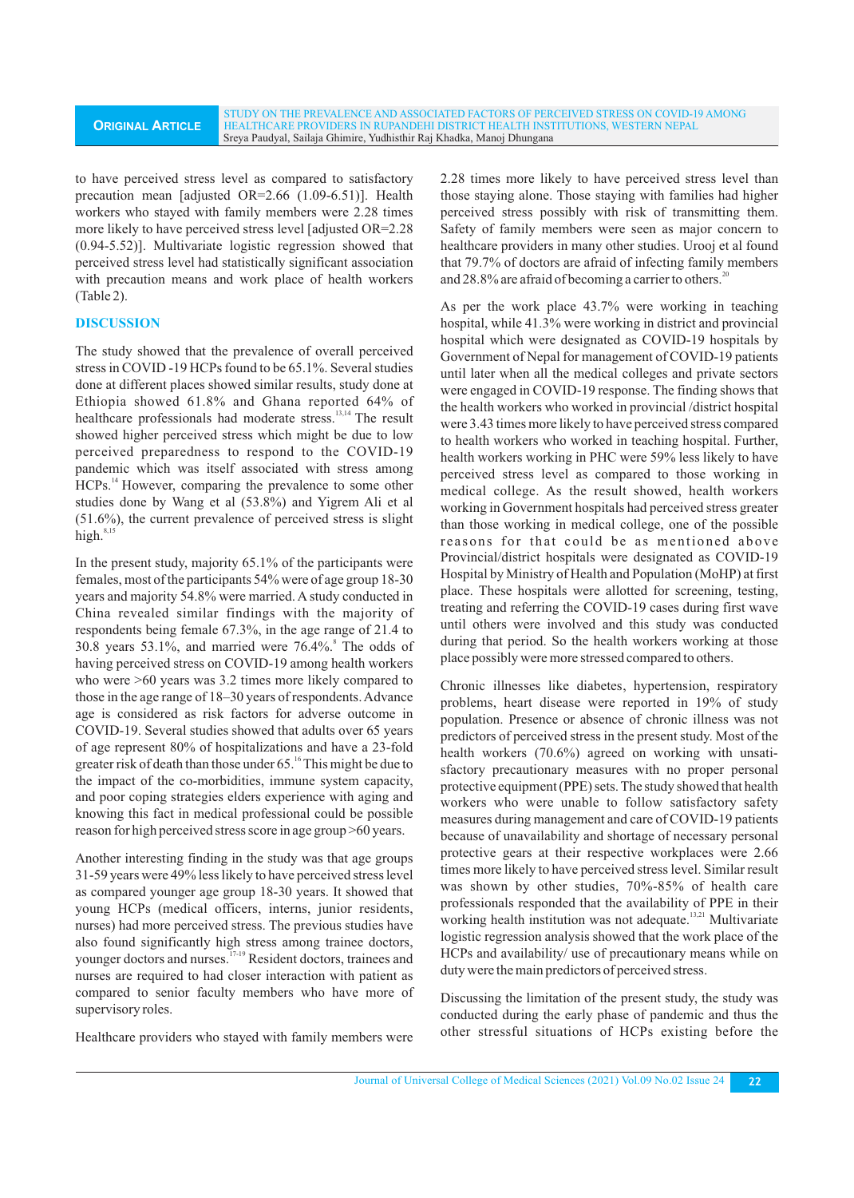to have perceived stress level as compared to satisfactory precaution mean [adjusted OR=2.66 (1.09-6.51)]. Health workers who stayed with family members were 2.28 times more likely to have perceived stress level [adjusted OR=2.28 (0.94-5.52)]. Multivariate logistic regression showed that perceived stress level had statistically significant association with precaution means and work place of health workers (Table 2).

# **DISCUSSION**

The study showed that the prevalence of overall perceived stress in COVID -19 HCPs found to be 65.1%. Several studies done at different places showed similar results, study done at Ethiopia showed 61.8% and Ghana reported 64% of healthcare professionals had moderate stress.<sup>13,14</sup> The result showed higher perceived stress which might be due to low perceived preparedness to respond to the COVID-19 pandemic which was itself associated with stress among HCPs.<sup>14</sup> However, comparing the prevalence to some other studies done by Wang et al (53.8%) and Yigrem Ali et al (51.6%), the current prevalence of perceived stress is slight high. $8$ 

In the present study, majority 65.1% of the participants were females, most of the participants 54% were of age group 18-30 years and majority 54.8% were married. Astudy conducted in China revealed similar findings with the majority of respondents being female 67.3%, in the age range of 21.4 to 8 30.8 years 53.1%, and married were 76.4%. The odds of having perceived stress on COVID-19 among health workers who were  $>60$  years was 3.2 times more likely compared to those in the age range of 18–30 years of respondents. Advance age is considered as risk factors for adverse outcome in COVID-19. Several studies showed that adults over 65 years of age represent 80% of hospitalizations and have a 23-fold greater risk of death than those under 65.<sup>16</sup> This might be due to the impact of the co-morbidities, immune system capacity, and poor coping strategies elders experience with aging and knowing this fact in medical professional could be possible reason for high perceived stress score in age group >60 years.

Another interesting finding in the study was that age groups 31-59 years were 49% less likely to have perceived stress level as compared younger age group 18-30 years. It showed that young HCPs (medical officers, interns, junior residents, nurses) had more perceived stress. The previous studies have also found significantly high stress among trainee doctors, younger doctors and nurses.<sup>17-19</sup> Resident doctors, trainees and nurses are required to had closer interaction with patient as compared to senior faculty members who have more of supervisory roles.

Healthcare providers who stayed with family members were

2.28 times more likely to have perceived stress level than those staying alone. Those staying with families had higher perceived stress possibly with risk of transmitting them. Safety of family members were seen as major concern to healthcare providers in many other studies. Urooj et al found that 79.7% of doctors are afraid of infecting family members and  $28.8\%$  are afraid of becoming a carrier to others.<sup>2</sup>

As per the work place 43.7% were working in teaching hospital, while 41.3% were working in district and provincial hospital which were designated as COVID-19 hospitals by Government of Nepal for management of COVID-19 patients until later when all the medical colleges and private sectors were engaged in COVID-19 response. The finding shows that the health workers who worked in provincial /district hospital were 3.43 times more likely to have perceived stress compared to health workers who worked in teaching hospital. Further, health workers working in PHC were 59% less likely to have perceived stress level as compared to those working in medical college. As the result showed, health workers working in Government hospitals had perceived stress greater than those working in medical college, one of the possible reasons for that could be as mentioned above Provincial/district hospitals were designated as COVID-19 Hospital by Ministry of Health and Population (MoHP) at first place. These hospitals were allotted for screening, testing, treating and referring the COVID-19 cases during first wave until others were involved and this study was conducted during that period. So the health workers working at those place possibly were more stressed compared to others.

Chronic illnesses like diabetes, hypertension, respiratory problems, heart disease were reported in 19% of study population. Presence or absence of chronic illness was not predictors of perceived stress in the present study. Most of the health workers (70.6%) agreed on working with unsatisfactory precautionary measures with no proper personal protective equipment (PPE) sets. The study showed that health workers who were unable to follow satisfactory safety measures during management and care of COVID-19 patients because of unavailability and shortage of necessary personal protective gears at their respective workplaces were 2.66 times more likely to have perceived stress level. Similar result was shown by other studies, 70%-85% of health care professionals responded that the availability of PPE in their working health institution was not adequate.  $^{13,21}$  Multivariate logistic regression analysis showed that the work place of the HCPs and availability/ use of precautionary means while on duty were the main predictors of perceived stress.

Discussing the limitation of the present study, the study was conducted during the early phase of pandemic and thus the other stressful situations of HCPs existing before the